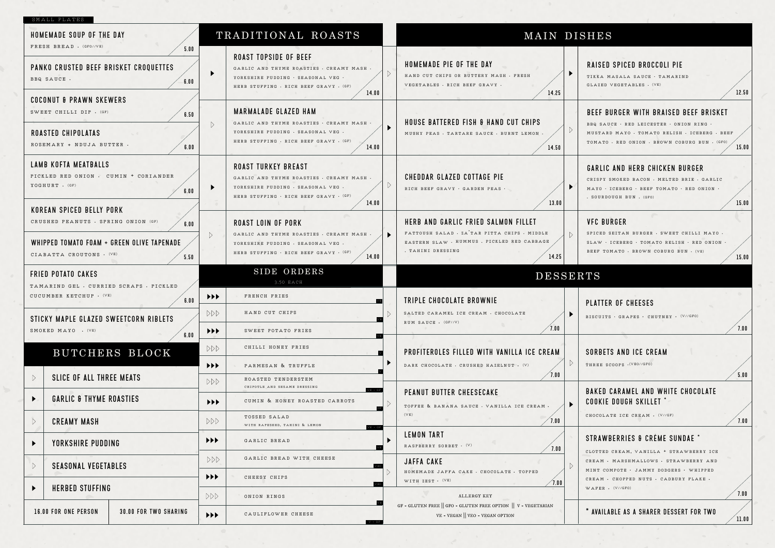